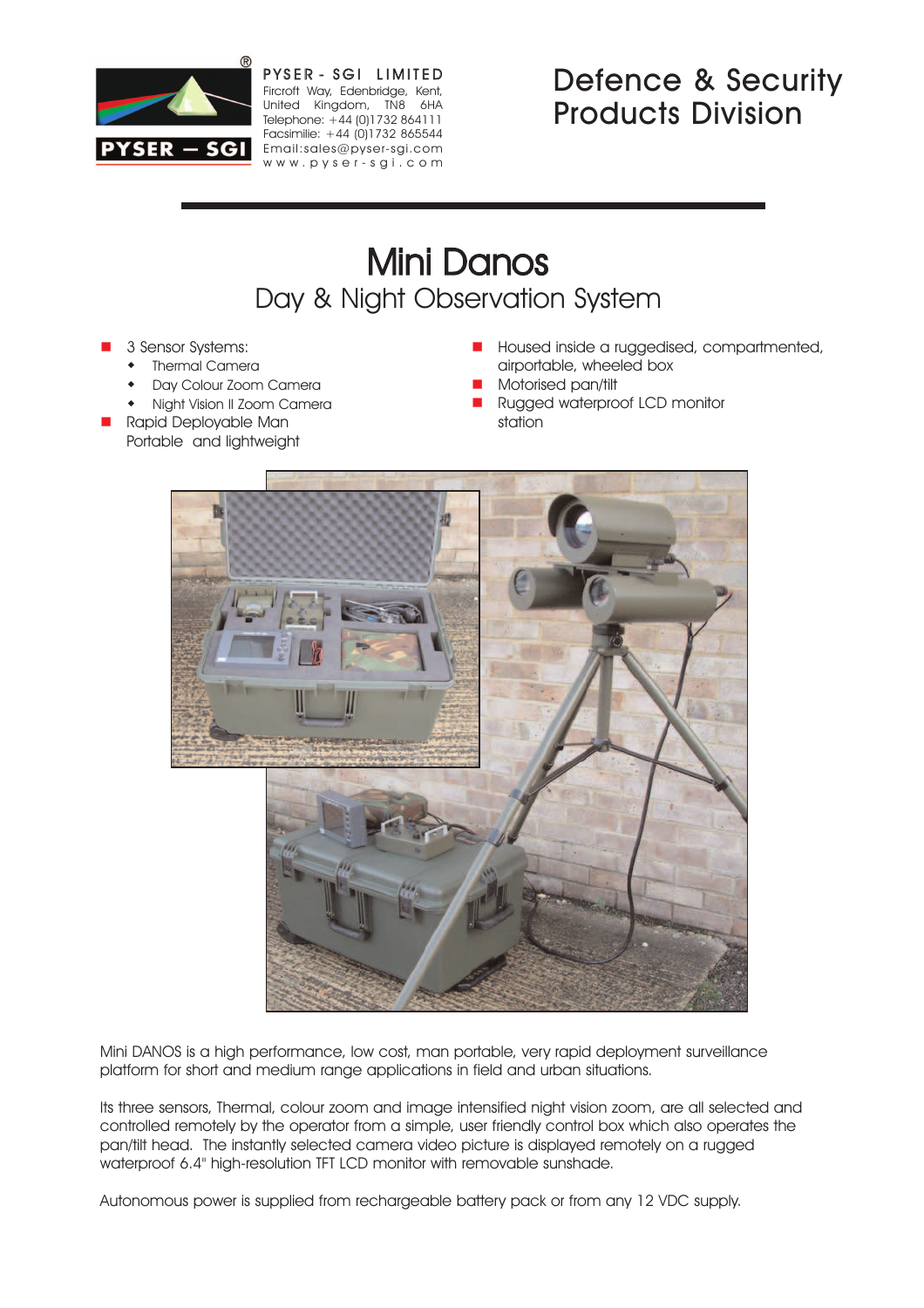

PYSER - SGI LIMITED Fircroft Way, Edenbridge, Kent, United Kingdom, TN8 6HA Telephone: +44 (0)1732 864111 Facsimilie: +44 (0)1732 865544 PYSER - SGI Email:sales@pyser-sgi.com www .pyser -sgi .com

## Defence & Security Products Division

# Mini Danos Day & Night Observation System

- 3 Sensor Systems:
	- Thermal Camera
	- Day Colour Zoom Camera
	- Night Vision II Zoom Camera
- n Rapid Deployable Man Portable and lightweight
- **n** Housed inside a ruggedised, compartmented, airportable, wheeled box
- n Motorised pan/tilt
- **n** Rugged waterproof LCD monitor station



Mini DANOS is a high performance, low cost, man portable, very rapid deployment surveillance platform for short and medium range applications in field and urban situations.

Its three sensors, Thermal, colour zoom and image intensified night vision zoom, are all selected and controlled remotely by the operator from a simple, user friendly control box which also operates the pan/tilt head. The instantly selected camera video picture is displayed remotely on a rugged waterproof 6.4" high-resolution TFT LCD monitor with removable sunshade.

Autonomous power is supplied from rechargeable battery pack or from any 12 VDC supply.